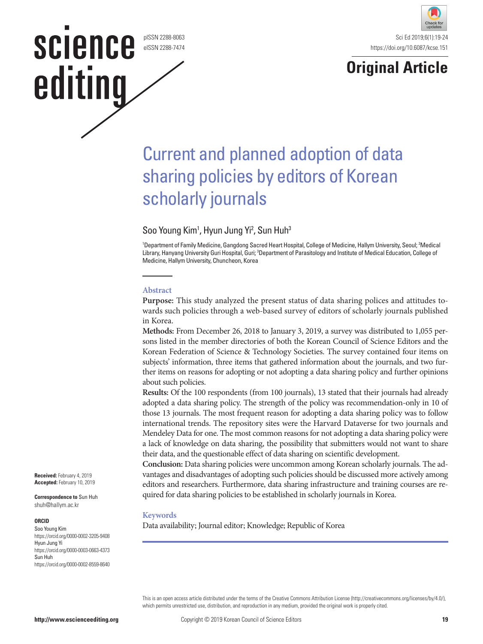pISSN 2288-8063 eISSN 2288-7474

**science** 

editing





# Current and planned adoption of data sharing policies by editors of Korean scholarly journals

Soo Young Kim<sup>1</sup>, Hyun Jung Yi<sup>2</sup>, Sun Huh<sup>3</sup>

<sup>1</sup>Department of Family Medicine, Gangdong Sacred Heart Hospital, College of Medicine, Hallym University, Seoul; <sup>2</sup>Medical Library, Hanyang University Guri Hospital, Guri; <sup>3</sup>Department of Parasitology and Institute of Medical Education, College of Medicine, Hallym University, Chuncheon, Korea

#### **Abstract**

**Purpose:** This study analyzed the present status of data sharing polices and attitudes towards such policies through a web-based survey of editors of scholarly journals published in Korea.

**Methods:** From December 26, 2018 to January 3, 2019, a survey was distributed to 1,055 persons listed in the member directories of both the Korean Council of Science Editors and the Korean Federation of Science & Technology Societies. The survey contained four items on subjects' information, three items that gathered information about the journals, and two further items on reasons for adopting or not adopting a data sharing policy and further opinions about such policies.

**Results:** Of the 100 respondents (from 100 journals), 13 stated that their journals had already adopted a data sharing policy. The strength of the policy was recommendation-only in 10 of those 13 journals. The most frequent reason for adopting a data sharing policy was to follow international trends. The repository sites were the Harvard Dataverse for two journals and Mendeley Data for one. The most common reasons for not adopting a data sharing policy were a lack of knowledge on data sharing, the possibility that submitters would not want to share their data, and the questionable effect of data sharing on scientific development.

**Conclusion:** Data sharing policies were uncommon among Korean scholarly journals. The advantages and disadvantages of adopting such policies should be discussed more actively among editors and researchers. Furthermore, data sharing infrastructure and training courses are required for data sharing policies to be established in scholarly journals in Korea.

#### **Keywords**

Data availability; Journal editor; Knowledge; Republic of Korea

This is an open access article distributed under the terms of the Creative Commons Attribution License (http://creativecommons.org/licenses/by/4.0/), which permits unrestricted use, distribution, and reproduction in any medium, provided the original work is properly cited.

**Received:** February 4, 2019 **Accepted:** February 10, 2019

**Correspondence to** Sun Huh shuh@hallym.ac.kr

#### **ORCID**

Soo Young Kim https://orcid.org/0000-0002-3205-9408 Hyun Jung Yi https://orcid.org/0000-0003-0663-4373 Sun Huh https://orcid.org/0000-0002-8559-8640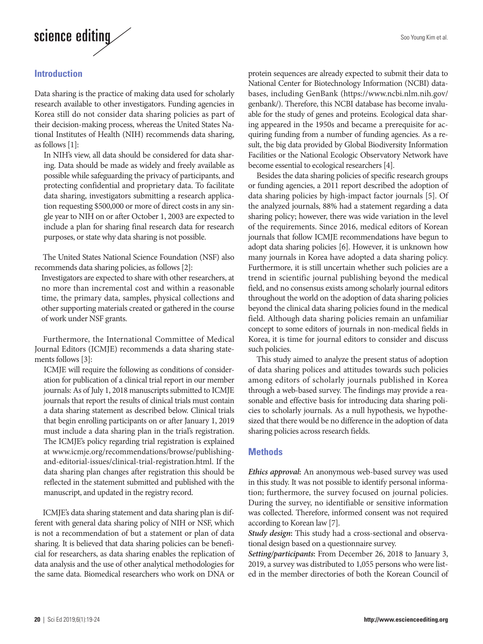

# **Introduction**

Data sharing is the practice of making data used for scholarly research available to other investigators. Funding agencies in Korea still do not consider data sharing policies as part of their decision-making process, whereas the United States National Institutes of Health (NIH) recommends data sharing, as follows [1]:

In NIH's view, all data should be considered for data sharing. Data should be made as widely and freely available as possible while safeguarding the privacy of participants, and protecting confidential and proprietary data. To facilitate data sharing, investigators submitting a research application requesting \$500,000 or more of direct costs in any single year to NIH on or after October 1, 2003 are expected to include a plan for sharing final research data for research purposes, or state why data sharing is not possible.

The United States National Science Foundation (NSF) also recommends data sharing policies, as follows [2]:

Investigators are expected to share with other researchers, at no more than incremental cost and within a reasonable time, the primary data, samples, physical collections and other supporting materials created or gathered in the course of work under NSF grants.

Furthermore, the International Committee of Medical Journal Editors (ICMJE) recommends a data sharing statements follows [3]:

ICMJE will require the following as conditions of consideration for publication of a clinical trial report in our member journals: As of July 1, 2018 manuscripts submitted to ICMJE journals that report the results of clinical trials must contain a data sharing statement as described below. Clinical trials that begin enrolling participants on or after January 1, 2019 must include a data sharing plan in the trial's registration. The ICMJE's policy regarding trial registration is explained at www.icmje.org/recommendations/browse/publishingand-editorial-issues/clinical-trial-registration.html. If the data sharing plan changes after registration this should be reflected in the statement submitted and published with the manuscript, and updated in the registry record.

ICMJE's data sharing statement and data sharing plan is different with general data sharing policy of NIH or NSF, which is not a recommendation of but a statement or plan of data sharing. It is believed that data sharing policies can be beneficial for researchers, as data sharing enables the replication of data analysis and the use of other analytical methodologies for the same data. Biomedical researchers who work on DNA or

protein sequences are already expected to submit their data to National Center for Biotechnology Information (NCBI) databases, including GenBank (https://www.ncbi.nlm.nih.gov/ genbank/). Therefore, this NCBI database has become invaluable for the study of genes and proteins. Ecological data sharing appeared in the 1950s and became a prerequisite for acquiring funding from a number of funding agencies. As a result, the big data provided by Global Biodiversity Information Facilities or the National Ecologic Observatory Network have become essential to ecological researchers [4].

Besides the data sharing policies of specific research groups or funding agencies, a 2011 report described the adoption of data sharing policies by high-impact factor journals [5]. Of the analyzed journals, 88% had a statement regarding a data sharing policy; however, there was wide variation in the level of the requirements. Since 2016, medical editors of Korean journals that follow ICMJE recommendations have begun to adopt data sharing policies [6]. However, it is unknown how many journals in Korea have adopted a data sharing policy. Furthermore, it is still uncertain whether such policies are a trend in scientific journal publishing beyond the medical field, and no consensus exists among scholarly journal editors throughout the world on the adoption of data sharing policies beyond the clinical data sharing policies found in the medical field. Although data sharing policies remain an unfamiliar concept to some editors of journals in non-medical fields in Korea, it is time for journal editors to consider and discuss such policies.

This study aimed to analyze the present status of adoption of data sharing polices and attitudes towards such policies among editors of scholarly journals published in Korea through a web-based survey. The findings may provide a reasonable and effective basis for introducing data sharing policies to scholarly journals. As a null hypothesis, we hypothesized that there would be no difference in the adoption of data sharing policies across research fields.

### **Methods**

*Ethics approval***:** An anonymous web-based survey was used in this study. It was not possible to identify personal information; furthermore, the survey focused on journal policies. During the survey, no identifiable or sensitive information was collected. Therefore, informed consent was not required according to Korean law [7].

*Study design***:** This study had a cross-sectional and observational design based on a questionnaire survey.

*Setting/participants***:** From December 26, 2018 to January 3, 2019, a survey was distributed to 1,055 persons who were listed in the member directories of both the Korean Council of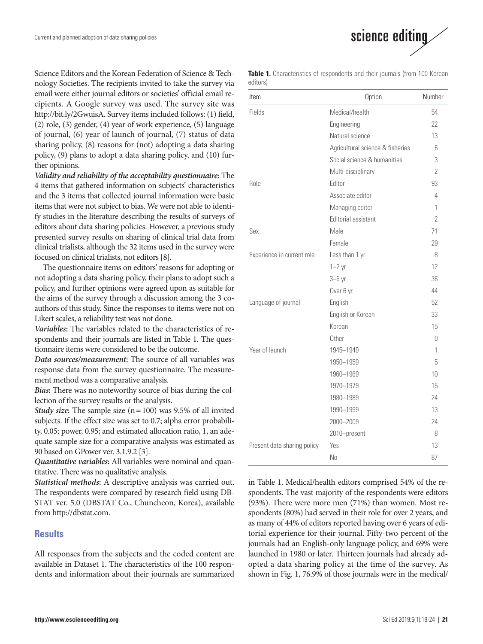Science Editors and the Korean Federation of Science & Technology Societies. The recipients invited to take the survey via email were either journal editors or societies' official email recipients. A Google survey was used. The survey site was http://bit.ly/2GwuisA. Survey items included follows: (1) field, (2) role, (3) gender, (4) year of work experience, (5) language of journal, (6) year of launch of journal, (7) status of data sharing policy, (8) reasons for (not) adopting a data sharing policy, (9) plans to adopt a data sharing policy, and (10) further opinions.

*Validity and reliability of the acceptability questionnaire***:** The 4 items that gathered information on subjects' characteristics and the 3 items that collected journal information were basic items that were not subject to bias. We were not able to identify studies in the literature describing the results of surveys of editors about data sharing policies. However, a previous study presented survey results on sharing of clinical trial data from clinical trialists, although the 32 items used in the survey were focused on clinical trialists, not editors [8].

The questionnaire items on editors' reasons for adopting or not adopting a data sharing policy, their plans to adopt such a policy, and further opinions were agreed upon as suitable for the aims of the survey through a discussion among the 3 coauthors of this study. Since the responses to items were not on Likert scales, a reliability test was not done.

*Variables***:** The variables related to the characteristics of respondents and their journals are listed in Table 1. The questionnaire items were considered to be the outcome.

*Data sources/measurement***:** The source of all variables was response data from the survey questionnaire. The measurement method was a comparative analysis.

*Bias***:** There was no noteworthy source of bias during the collection of the survey results or the analysis.

*Study size***:** The sample size (n= 100) was 9.5% of all invited subjects. If the effect size was set to 0.7; alpha error probability, 0.05; power, 0.95; and estimated allocation ratio, 1, an adequate sample size for a comparative analysis was estimated as 90 based on GPower ver. 3.1.9.2 [3].

*Quantitative variables***:** All variables were nominal and quantitative. There was no qualitative analysis.

*Statistical methods***:** A descriptive analysis was carried out. The respondents were compared by research field using DB-STAT ver. 5.0 (DBSTAT Co., Chuncheon, Korea), available from http://dbstat.com.

#### **Results**

All responses from the subjects and the coded content are available in Dataset 1. The characteristics of the 100 respondents and information about their journals are summarized



Table 1. Characteristics of respondents and their journals (from 100 Korean editors)

| Item                        | Option                           | Number         |
|-----------------------------|----------------------------------|----------------|
| Fields                      | Medical/health                   | 54             |
|                             | Engineering                      | 22             |
|                             | Natural science                  | 13             |
|                             | Agricultural science & fisheries | 6              |
|                             | Social science & humanities      | 3              |
|                             | Multi-disciplinary               | $\overline{2}$ |
| <b>Role</b>                 | Fditor                           | 93             |
|                             | Associate editor                 | 4              |
|                             | Managing editor                  | 1              |
|                             | Editorial assistant              | $\overline{2}$ |
| Sex                         | Male                             | 71             |
|                             | Female                           | 29             |
| Experience in current role  | Less than 1 yr                   | 8              |
|                             | $1-2$ yr                         | 12             |
|                             | $3-6$ yr                         | 36             |
|                             | Over 6 yr                        | 44             |
| Language of journal         | English                          | 52             |
|                             | English or Korean                | 33             |
|                             | Korean                           | 15             |
|                             | Other                            | 0              |
| Year of launch              | 1945-1949                        | 1              |
|                             | 1950-1959                        | 5              |
|                             | 1960-1969                        | 10             |
|                             | 1970-1979                        | 15             |
|                             | 1980-1989                        | 24             |
|                             | 1990-1999                        | 13             |
|                             | 2000-2009                        | 24             |
|                             | 2010-present                     | 8              |
| Present data sharing policy | Yes                              | 13             |
|                             | N <sub>0</sub>                   | 87             |

in Table 1. Medical/health editors comprised 54% of the respondents. The vast majority of the respondents were editors (93%). There were more men (71%) than women. Most respondents (80%) had served in their role for over 2 years, and as many of 44% of editors reported having over 6 years of editorial experience for their journal. Fifty-two percent of the journals had an English-only language policy, and 69% were launched in 1980 or later. Thirteen journals had already adopted a data sharing policy at the time of the survey. As shown in Fig. 1, 76.9% of those journals were in the medical/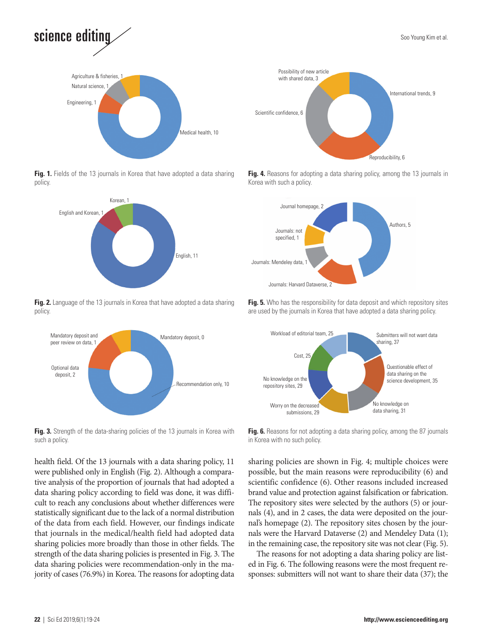



Fig. 1. Fields of the 13 journals in Korea that have adopted a data sharing policy.



**Fig. 2.** Language of the 13 journals in Korea that have adopted a data sharing policy.



**Fig. 3.** Strength of the data-sharing policies of the 13 journals in Korea with such a policy.

health field. Of the 13 journals with a data sharing policy, 11 were published only in English (Fig. 2). Although a comparative analysis of the proportion of journals that had adopted a data sharing policy according to field was done, it was difficult to reach any conclusions about whether differences were statistically significant due to the lack of a normal distribution of the data from each field. However, our findings indicate that journals in the medical/health field had adopted data sharing policies more broadly than those in other fields. The strength of the data sharing policies is presented in Fig. 3. The data sharing policies were recommendation-only in the majority of cases (76.9%) in Korea. The reasons for adopting data



Fig. 4. Reasons for adopting a data sharing policy, among the 13 journals in Korea with such a policy.



**Fig. 5.** Who has the responsibility for data deposit and which repository sites are used by the journals in Korea that have adopted a data sharing policy.



**Fig. 6.** Reasons for not adopting a data sharing policy, among the 87 journals in Korea with no such policy.

sharing policies are shown in Fig. 4; multiple choices were possible, but the main reasons were reproducibility (6) and scientific confidence (6). Other reasons included increased brand value and protection against falsification or fabrication. The repository sites were selected by the authors (5) or journals (4), and in 2 cases, the data were deposited on the journal's homepage (2). The repository sites chosen by the journals were the Harvard Dataverse (2) and Mendeley Data (1); in the remaining case, the repository site was not clear (Fig. 5).

The reasons for not adopting a data sharing policy are listed in Fig. 6. The following reasons were the most frequent responses: submitters will not want to share their data (37); the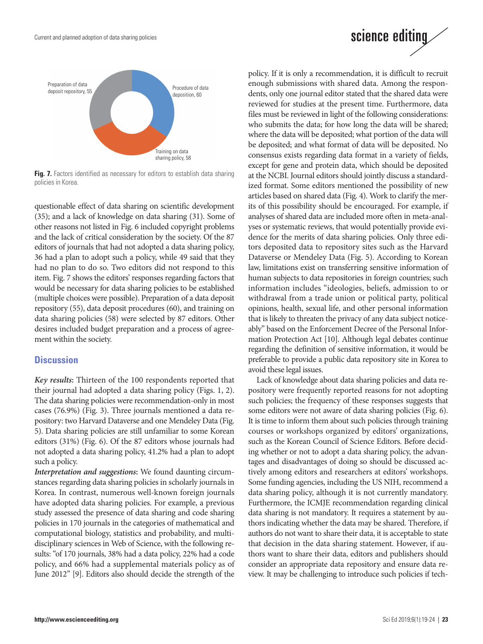Current and planned adoption of data sharing policies



**Fig. 7.** Factors identified as necessary for editors to establish data sharing policies in Korea.

questionable effect of data sharing on scientific development (35); and a lack of knowledge on data sharing (31). Some of other reasons not listed in Fig. 6 included copyright problems and the lack of critical consideration by the society. Of the 87 editors of journals that had not adopted a data sharing policy, 36 had a plan to adopt such a policy, while 49 said that they had no plan to do so. Two editors did not respond to this item. Fig. 7 shows the editors' responses regarding factors that would be necessary for data sharing policies to be established (multiple choices were possible). Preparation of a data deposit repository (55), data deposit procedures (60), and training on data sharing policies (58) were selected by 87 editors. Other desires included budget preparation and a process of agreement within the society.

#### **Discussion**

*Key results***:** Thirteen of the 100 respondents reported that their journal had adopted a data sharing policy (Figs. 1, 2). The data sharing policies were recommendation-only in most cases (76.9%) (Fig. 3). Three journals mentioned a data repository: two Harvard Dataverse and one Mendeley Data (Fig. 5). Data sharing policies are still unfamiliar to some Korean editors (31%) (Fig. 6). Of the 87 editors whose journals had not adopted a data sharing policy, 41.2% had a plan to adopt such a policy.

*Interpretation and suggestions***:** We found daunting circumstances regarding data sharing policies in scholarly journals in Korea. In contrast, numerous well-known foreign journals have adopted data sharing policies. For example, a previous study assessed the presence of data sharing and code sharing policies in 170 journals in the categories of mathematical and computational biology, statistics and probability, and multidisciplinary sciences in Web of Science, with the following results: "of 170 journals, 38% had a data policy, 22% had a code policy, and 66% had a supplemental materials policy as of June 2012" [9]. Editors also should decide the strength of the

policy. If it is only a recommendation, it is difficult to recruit enough submissions with shared data. Among the respondents, only one journal editor stated that the shared data were reviewed for studies at the present time. Furthermore, data files must be reviewed in light of the following considerations: who submits the data; for how long the data will be shared; where the data will be deposited; what portion of the data will be deposited; and what format of data will be deposited. No consensus exists regarding data format in a variety of fields, except for gene and protein data, which should be deposited at the NCBI. Journal editors should jointly discuss a standardized format. Some editors mentioned the possibility of new articles based on shared data (Fig. 4). Work to clarify the merits of this possibility should be encouraged. For example, if analyses of shared data are included more often in meta-analyses or systematic reviews, that would potentially provide evidence for the merits of data sharing policies. Only three editors deposited data to repository sites such as the Harvard Dataverse or Mendeley Data (Fig. 5). According to Korean law, limitations exist on transferring sensitive information of human subjects to data repositories in foreign countries; such information includes "ideologies, beliefs, admission to or withdrawal from a trade union or political party, political opinions, health, sexual life, and other personal information that is likely to threaten the privacy of any data subject noticeably" based on the Enforcement Decree of the Personal Information Protection Act [10]. Although legal debates continue regarding the definition of sensitive information, it would be preferable to provide a public data repository site in Korea to avoid these legal issues.

science editing

Lack of knowledge about data sharing policies and data repository were frequently reported reasons for not adopting such policies; the frequency of these responses suggests that some editors were not aware of data sharing policies (Fig. 6). It is time to inform them about such policies through training courses or workshops organized by editors' organizations, such as the Korean Council of Science Editors. Before deciding whether or not to adopt a data sharing policy, the advantages and disadvantages of doing so should be discussed actively among editors and researchers at editors' workshops. Some funding agencies, including the US NIH, recommend a data sharing policy, although it is not currently mandatory. Furthermore, the ICMJE recommendation regarding clinical data sharing is not mandatory. It requires a statement by authors indicating whether the data may be shared. Therefore, if authors do not want to share their data, it is acceptable to state that decision in the data sharing statement. However, if authors want to share their data, editors and publishers should consider an appropriate data repository and ensure data review. It may be challenging to introduce such policies if tech-